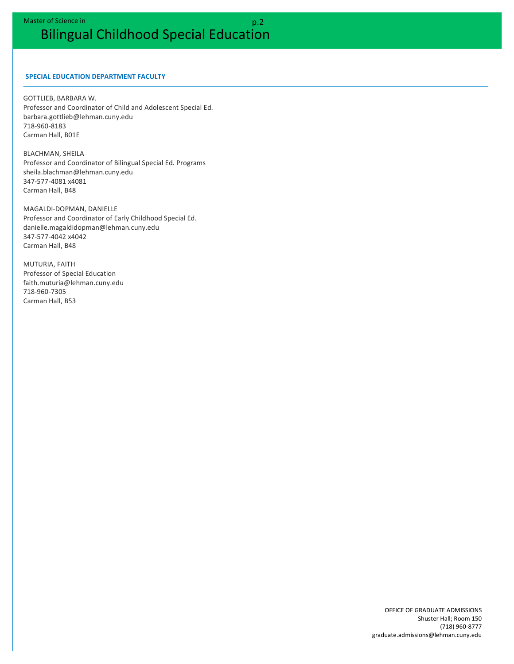### **SPECIAL EDUCATION DEPARTMENT FACULTY**

**GOTTLIEB, BARBARA W.** Professor and Coordinator of Child and Adolescent Special Ed. barbara.gottlieb@lehman.cuny.edu 718-960-8183 Carman Hall, B01E

**BLACHMAN, SHEILA** Professor and Coordinator of Bilingual Special Ed. Programs sheila.blachman@lehman.cuny.edu 347-577-4081 x4081 Carman Hall, B48

MAGALDI-DOPMAN, DANIELLE Professor and Coordinator of Early Childhood Special Ed. danielle.magaldidopman@lehman.cuny.edu 347-577-4042 x4042 Carman Hall, B48

**MUTURIA, FAITH** Professor of Special Education faith.muturia@lehman.cuny.edu 718-960-7305 Carman Hall, B53